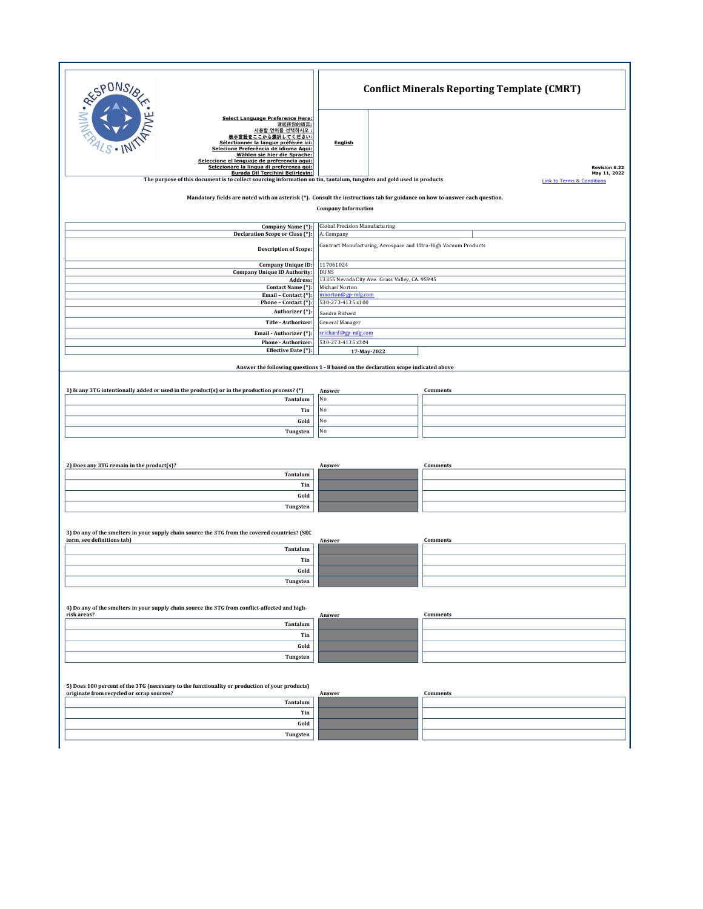| RESPONSIBLE                                                                                                                                                                                                                                                                                              | <b>Conflict Minerals Reporting Template (CMRT)</b>                                  |                                                       |  |
|----------------------------------------------------------------------------------------------------------------------------------------------------------------------------------------------------------------------------------------------------------------------------------------------------------|-------------------------------------------------------------------------------------|-------------------------------------------------------|--|
| <b>Select Language Preference Here:</b><br>请选择你的语言:<br>사용할 언어를 선택하시오 :<br>豊示言語をここから選択してください:<br>Sélectionner la langue préférée ici:<br>Selecione Preferência de idioma Aqui:<br>Wählen sie hier die Sprache:<br>Seleccione el lenguaje de preferencia aqui:<br>Selezionare la lingua di preferenza qui: | <b>English</b>                                                                      | Revision 6.22                                         |  |
| <b>Burada Dil Tercihini Belirleyin:</b><br>The purpose of this document is to collect sourcing information on tin, tantalum, tungsten and gold used in products                                                                                                                                          |                                                                                     | May 11, 2022<br><b>Link to Terms &amp; Conditions</b> |  |
| Mandatory fields are noted with an asterisk (*). Consult the instructions tab for guidance on how to answer each question.<br><b>Company Information</b>                                                                                                                                                 |                                                                                     |                                                       |  |
|                                                                                                                                                                                                                                                                                                          |                                                                                     |                                                       |  |
| Company Name (*):<br>Declaration Scope or Class (*):                                                                                                                                                                                                                                                     | <b>Global Precision Manufacturing</b><br>A. Company                                 |                                                       |  |
| <b>Description of Scope:</b>                                                                                                                                                                                                                                                                             | Contract Manufacturing, Aerospace and Ultra-High Vacuum Products                    |                                                       |  |
| <b>Company Unique ID:</b>                                                                                                                                                                                                                                                                                | 117061024                                                                           |                                                       |  |
| <b>Company Unique ID Authority:</b>                                                                                                                                                                                                                                                                      | <b>DUNS</b>                                                                         |                                                       |  |
| Address:<br>Contact Name (*):                                                                                                                                                                                                                                                                            | 13355 Nevada City Ave. Grass Valley, CA. 95945<br>Michael Norton                    |                                                       |  |
| Email - Contact (*):                                                                                                                                                                                                                                                                                     | mnorton@gp-mfg.com                                                                  |                                                       |  |
| Phone - Contact (*):                                                                                                                                                                                                                                                                                     | 530-273-4135 x100                                                                   |                                                       |  |
| Authorizer (*):                                                                                                                                                                                                                                                                                          | Sandra Richard                                                                      |                                                       |  |
| Title - Authorizer:                                                                                                                                                                                                                                                                                      | General Manager                                                                     |                                                       |  |
| Email - Authorizer (*):                                                                                                                                                                                                                                                                                  |                                                                                     | srichard@gp-mfg.com                                   |  |
| Phone - Authorizer:<br>Effective Date (*):                                                                                                                                                                                                                                                               | 530-273-4135 x304<br>17-May-2022                                                    |                                                       |  |
|                                                                                                                                                                                                                                                                                                          |                                                                                     |                                                       |  |
|                                                                                                                                                                                                                                                                                                          | Answer the following questions 1 - 8 based on the declaration scope indicated above |                                                       |  |
|                                                                                                                                                                                                                                                                                                          |                                                                                     |                                                       |  |
| 1) Is any 3TG intentionally added or used in the product(s) or in the production process? (*)                                                                                                                                                                                                            | Answer                                                                              | Comments                                              |  |
| Tantalum                                                                                                                                                                                                                                                                                                 | No                                                                                  |                                                       |  |
| Tin                                                                                                                                                                                                                                                                                                      | No                                                                                  |                                                       |  |
| Gold                                                                                                                                                                                                                                                                                                     | No                                                                                  |                                                       |  |
| Tungsten                                                                                                                                                                                                                                                                                                 | No                                                                                  |                                                       |  |
|                                                                                                                                                                                                                                                                                                          |                                                                                     |                                                       |  |
|                                                                                                                                                                                                                                                                                                          |                                                                                     |                                                       |  |
| 2) Does any 3TG remain in the product(s)?                                                                                                                                                                                                                                                                | Answer                                                                              | Comments                                              |  |
| Tantalum                                                                                                                                                                                                                                                                                                 |                                                                                     |                                                       |  |
| Tin                                                                                                                                                                                                                                                                                                      |                                                                                     |                                                       |  |
| Gold                                                                                                                                                                                                                                                                                                     |                                                                                     |                                                       |  |
| Tungsten                                                                                                                                                                                                                                                                                                 |                                                                                     |                                                       |  |
|                                                                                                                                                                                                                                                                                                          |                                                                                     |                                                       |  |
| 3) Do any of the smelters in your supply chain source the 3TG from the covered countries? (SEC                                                                                                                                                                                                           |                                                                                     |                                                       |  |
| term, see definitions tab)                                                                                                                                                                                                                                                                               | Answer                                                                              | Comments                                              |  |
| Tantalum                                                                                                                                                                                                                                                                                                 |                                                                                     |                                                       |  |
| Tin                                                                                                                                                                                                                                                                                                      |                                                                                     |                                                       |  |
| Gold                                                                                                                                                                                                                                                                                                     |                                                                                     |                                                       |  |
| Tungsten                                                                                                                                                                                                                                                                                                 |                                                                                     |                                                       |  |
|                                                                                                                                                                                                                                                                                                          |                                                                                     |                                                       |  |
| 4) Do any of the smelters in your supply chain source the 3TG from conflict-affected and high-<br>risk areas?                                                                                                                                                                                            | Answer                                                                              | Comments                                              |  |
| Tantalum                                                                                                                                                                                                                                                                                                 |                                                                                     |                                                       |  |
| Tin                                                                                                                                                                                                                                                                                                      |                                                                                     |                                                       |  |
| Gold                                                                                                                                                                                                                                                                                                     |                                                                                     |                                                       |  |
| Tungsten                                                                                                                                                                                                                                                                                                 |                                                                                     |                                                       |  |
|                                                                                                                                                                                                                                                                                                          |                                                                                     |                                                       |  |
| 5) Does 100 percent of the 3TG (necessary to the functionality or production of your products)<br>originate from recycled or scrap sources?                                                                                                                                                              | Answer                                                                              | Comments                                              |  |
| Tantalum                                                                                                                                                                                                                                                                                                 |                                                                                     |                                                       |  |
| Tin                                                                                                                                                                                                                                                                                                      |                                                                                     |                                                       |  |
| Gold                                                                                                                                                                                                                                                                                                     |                                                                                     |                                                       |  |
| Tungsten                                                                                                                                                                                                                                                                                                 |                                                                                     |                                                       |  |
|                                                                                                                                                                                                                                                                                                          |                                                                                     |                                                       |  |